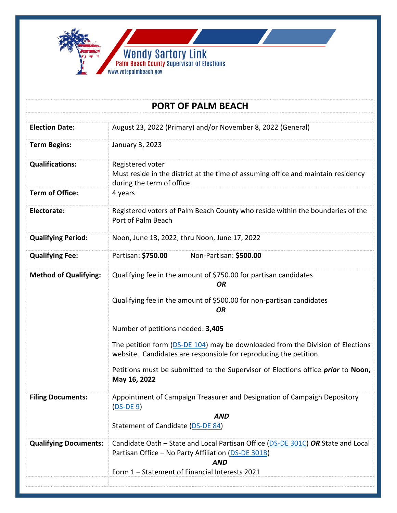

| <b>PORT OF PALM BEACH</b>    |                                                                                                                                                                                                                                                                                                                                                                                                                                                                    |
|------------------------------|--------------------------------------------------------------------------------------------------------------------------------------------------------------------------------------------------------------------------------------------------------------------------------------------------------------------------------------------------------------------------------------------------------------------------------------------------------------------|
|                              |                                                                                                                                                                                                                                                                                                                                                                                                                                                                    |
| <b>Election Date:</b>        | August 23, 2022 (Primary) and/or November 8, 2022 (General)                                                                                                                                                                                                                                                                                                                                                                                                        |
| <b>Term Begins:</b>          | January 3, 2023                                                                                                                                                                                                                                                                                                                                                                                                                                                    |
| <b>Qualifications:</b>       | Registered voter<br>Must reside in the district at the time of assuming office and maintain residency<br>during the term of office                                                                                                                                                                                                                                                                                                                                 |
| <b>Term of Office:</b>       | 4 years                                                                                                                                                                                                                                                                                                                                                                                                                                                            |
| Electorate:                  | Registered voters of Palm Beach County who reside within the boundaries of the<br>Port of Palm Beach                                                                                                                                                                                                                                                                                                                                                               |
| <b>Qualifying Period:</b>    | Noon, June 13, 2022, thru Noon, June 17, 2022                                                                                                                                                                                                                                                                                                                                                                                                                      |
| <b>Qualifying Fee:</b>       | Partisan: \$750.00<br>Non-Partisan: \$500.00                                                                                                                                                                                                                                                                                                                                                                                                                       |
| <b>Method of Qualifying:</b> | Qualifying fee in the amount of \$750.00 for partisan candidates<br><b>OR</b><br>Qualifying fee in the amount of \$500.00 for non-partisan candidates<br>OR<br>Number of petitions needed: 3,405<br>The petition form (DS-DE 104) may be downloaded from the Division of Elections<br>website. Candidates are responsible for reproducing the petition.<br>Petitions must be submitted to the Supervisor of Elections office <i>prior</i> to Noon,<br>May 16, 2022 |
| <b>Filing Documents:</b>     | Appointment of Campaign Treasurer and Designation of Campaign Depository<br>$(DS-DE 9)$<br><b>AND</b><br>Statement of Candidate (DS-DE 84)                                                                                                                                                                                                                                                                                                                         |
| <b>Qualifying Documents:</b> | Candidate Oath – State and Local Partisan Office (DS-DE 301C) OR State and Local<br>Partisan Office - No Party Affiliation (DS-DE 301B)<br><b>AND</b><br>Form 1 - Statement of Financial Interests 2021                                                                                                                                                                                                                                                            |